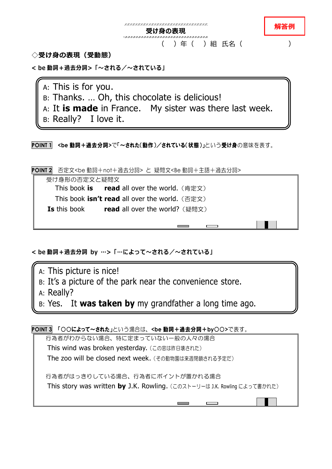

**◇受け身の表現(受動態)**

**< be 動詞+過去分詞>「~される/~されている」**

A: This is for you.

- B: Thanks. … Oh, this chocolate is delicious!
- A: It **is made** in France. My sister was there last week.
- B: Really? I love it.

**POINT 1 <be** 動詞+過去分詞**>**で「~された(動作)/されている(状態)」という受け身の意味を表す。

**POINT 2** 否定文<be 動詞+not+過去分詞> と 疑問文<Be 動詞+主語+過去分詞>

受け身形の否定文と疑問文 **This book is read** all over the world. (肯定文) **This book isn't read all over the world.** (否定文) **Is** this book **read** all over the world? (疑問文)

**< be 動詞+過去分詞 by …>「…によって~される/~されている」**

A: This picture is nice! B: It's a picture of the park near the convenience store.

A: Really?

B: Yes. It **was taken by** my grandfather a long time ago.

**POINT 3** 「○○によって~された」という場合は、**<be** 動詞+過去分詞+**by**○○**>**で表す。

行為者がわからない場合、特に定まっていない一般の人々の場合 This wind was broken yesterday. (この窓は昨日壊された) The zoo will be closed next week.(その動物園は来週閉鎖される予定だ) 行為者がはっきりしている場合、行為者にポイントが置かれる場合

This story was written **by** J.K. Rowling.(このストーリーは J.K. Rowling によって書かれた)